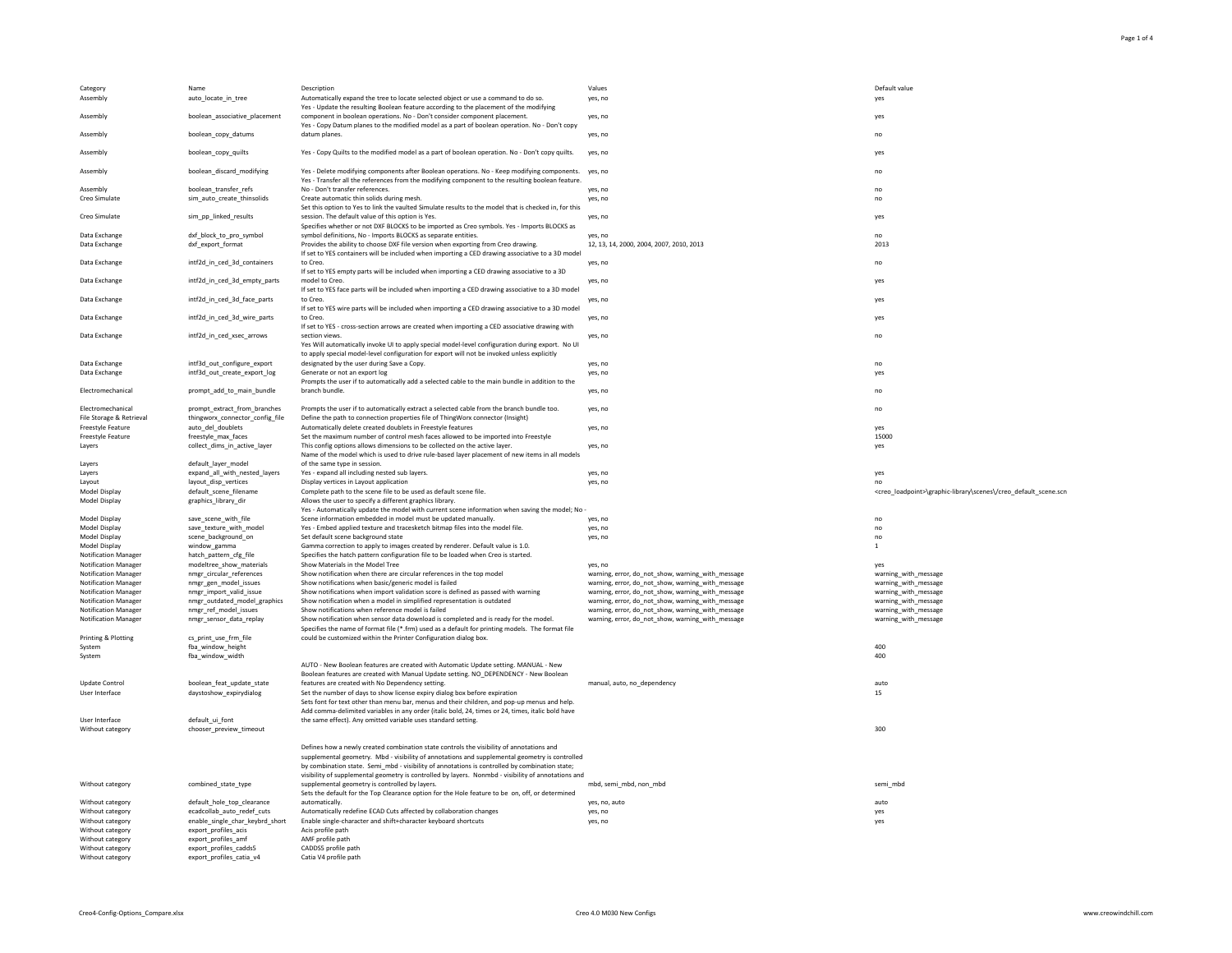| Category                                                   | Name                                                            | Description                                                                                                                                                                                                                                                                                  | Values                                                                                                 | Default value                       |
|------------------------------------------------------------|-----------------------------------------------------------------|----------------------------------------------------------------------------------------------------------------------------------------------------------------------------------------------------------------------------------------------------------------------------------------------|--------------------------------------------------------------------------------------------------------|-------------------------------------|
| Assembly                                                   | auto_locate_in_tree                                             | Automatically expand the tree to locate selected object or use a command to do so.<br>Yes - Update the resulting Boolean feature according to the placement of the modifying                                                                                                                 | yes, no                                                                                                | yes                                 |
| Assembly                                                   | boolean_associative_placement                                   | component in boolean operations. No - Don't consider component placement.<br>Yes - Copy Datum planes to the modified model as a part of boolean operation. No - Don't copy                                                                                                                   | yes, no                                                                                                | yes                                 |
| Assembly                                                   | boolean_copy_datums                                             | datum planes.                                                                                                                                                                                                                                                                                | yes, no                                                                                                | no                                  |
| Assembly                                                   | boolean_copy_quilts                                             | Yes - Copy Quilts to the modified model as a part of boolean operation. No - Don't copy quilts.                                                                                                                                                                                              | yes, no                                                                                                | yes                                 |
| Assembly                                                   | boolean_discard_modifying                                       | Yes - Delete modifying components after Boolean operations. No - Keep modifying components. yes, no<br>Yes - Transfer all the references from the modifying component to the resulting boolean feature.                                                                                      |                                                                                                        | no                                  |
| Assembly<br>Creo Simulate                                  | boolean_transfer_refs<br>sim_auto_create_thinsolids             | No - Don't transfer references.<br>Create automatic thin solids during mesh.                                                                                                                                                                                                                 | yes, no<br>yes, no                                                                                     | no<br>no                            |
| Creo Simulate                                              | sim_pp_linked_results                                           | Set this option to Yes to link the vaulted Simulate results to the model that is checked in, for this<br>session. The default value of this option is Yes.                                                                                                                                   | yes, no                                                                                                | yes                                 |
| Data Exchange                                              | dxf_block_to_pro_symbol                                         | Specifies whether or not DXF BLOCKS to be imported as Creo symbols. Yes - Imports BLOCKS as<br>symbol definitions, No - Imports BLOCKS as separate entities.                                                                                                                                 | yes, no                                                                                                | no                                  |
| Data Exchange                                              | dxf_export_format                                               | Provides the ability to choose DXF file version when exporting from Creo drawing.<br>If set to YES containers will be included when importing a CED drawing associative to a 3D model                                                                                                        | 12, 13, 14, 2000, 2004, 2007, 2010, 2013                                                               | 2013                                |
| Data Exchange                                              | intf2d_in_ced_3d_containers                                     | to Creo.                                                                                                                                                                                                                                                                                     | yes, no                                                                                                | no                                  |
| Data Exchange                                              | intf2d_in_ced_3d_empty_parts                                    | If set to YES empty parts will be included when importing a CED drawing associative to a 3D<br>model to Creo.                                                                                                                                                                                | yes, no                                                                                                | yes                                 |
| Data Exchange                                              | intf2d_in_ced_3d_face_parts                                     | If set to YES face parts will be included when importing a CED drawing associative to a 3D model<br>to Creo.                                                                                                                                                                                 | yes, no                                                                                                | yes                                 |
| Data Exchange                                              | intf2d_in_ced_3d_wire_parts                                     | If set to YES wire parts will be included when importing a CED drawing associative to a 3D model<br>to Creo.                                                                                                                                                                                 | yes, no                                                                                                | yes                                 |
| Data Exchange                                              | intf2d_in_ced_xsec_arrows                                       | If set to YES - cross-section arrows are created when importing a CED associative drawing with<br>section views.                                                                                                                                                                             | yes, no                                                                                                | no                                  |
|                                                            |                                                                 | Yes Will automatically invoke UI to apply special model-level configuration during export. No UI<br>to apply special model-level configuration for export will not be invoked unless explicitly                                                                                              |                                                                                                        |                                     |
| Data Exchange<br>Data Exchange                             | intf3d_out_configure_export<br>intf3d_out_create_export_log     | designated by the user during Save a Copy.<br>Generate or not an export log                                                                                                                                                                                                                  | yes, no<br>yes, no                                                                                     | no<br>yes                           |
| Electromechanical                                          |                                                                 | Prompts the user if to automatically add a selected cable to the main bundle in addition to the<br>branch bundle.                                                                                                                                                                            |                                                                                                        |                                     |
|                                                            | prompt_add_to_main_bundle                                       |                                                                                                                                                                                                                                                                                              | yes, no                                                                                                | no                                  |
| Electromechanical<br>File Storage & Retrieval              | prompt_extract_from_branches<br>thingworx connector config file | Prompts the user if to automatically extract a selected cable from the branch bundle too.<br>Define the path to connection properties file of ThingWorx connector (Insight)                                                                                                                  | yes, no                                                                                                | no                                  |
| <b>Freestyle Feature</b><br><b>Freestyle Feature</b>       | auto_del_doublets<br>freestyle_max_faces                        | Automatically delete created doublets in Freestyle features<br>Set the maximum number of control mesh faces allowed to be imported into Freestyle                                                                                                                                            | yes, no                                                                                                | yes<br>15000                        |
| Layers                                                     | collect_dims_in_active_layer                                    | This config options allows dimensions to be collected on the active layer.<br>Name of the model which is used to drive rule-based layer placement of new items in all models                                                                                                                 | yes, no                                                                                                | yes                                 |
| Layers<br>Layers                                           | default_layer_model<br>expand_all_with_nested_layers            | of the same type in session.<br>Yes - expand all including nested sub layers.                                                                                                                                                                                                                |                                                                                                        |                                     |
| Layout                                                     | layout_disp_vertices                                            | Display vertices in Layout application                                                                                                                                                                                                                                                       | yes, no<br>yes, no                                                                                     | yes<br>no                           |
| Model Display<br>Model Display                             | default_scene_filename<br>graphics_library_dir                  | Complete path to the scene file to be used as default scene file.<br>Allows the user to specify a different graphics library.<br>Yes - Automatically update the model with current scene information when saving the model; No -                                                             |                                                                                                        | <creo_loadpo< td=""></creo_loadpo<> |
| Model Display                                              | save_scene_with_file                                            | Scene information embedded in model must be updated manually.                                                                                                                                                                                                                                | yes, no                                                                                                | no                                  |
| Model Display                                              | save_texture_with_model                                         | Yes - Embed applied texture and tracesketch bitmap files into the model file.                                                                                                                                                                                                                | yes, no                                                                                                | no                                  |
| Model Display<br>Model Display                             | scene_background_on<br>window_gamma                             | Set default scene background state<br>Gamma correction to apply to images created by renderer. Default value is 1.0.                                                                                                                                                                         | yes, no                                                                                                | no                                  |
| <b>Notification Manager</b>                                | hatch_pattern_cfg_file                                          | Specifies the hatch pattern configuration file to be loaded when Creo is started.                                                                                                                                                                                                            |                                                                                                        |                                     |
| <b>Notification Manager</b>                                | modeltree_show_materials                                        | Show Materials in the Model Tree                                                                                                                                                                                                                                                             | yes, no                                                                                                | yes                                 |
| <b>Notification Manager</b>                                | nmgr_circular_references                                        | Show notification when there are circular references in the top model                                                                                                                                                                                                                        | warning, error, do_not_show, warning_with_message                                                      | warning_with                        |
| <b>Notification Manager</b><br><b>Notification Manager</b> | nmgr_gen_model_issues<br>nmgr_import_valid_issue                | Show notifications when basic/generic model is failed<br>Show notifications when import validation score is defined as passed with warning                                                                                                                                                   | warning, error, do_not_show, warning_with_message<br>warning, error, do_not_show, warning_with_message | warning_with<br>warning_with        |
| <b>Notification Manager</b>                                | nmgr_outdated_model_graphics                                    | Show notification when a model in simplified representation is outdated                                                                                                                                                                                                                      | warning, error, do_not_show, warning_with_message                                                      | warning_with                        |
| <b>Notification Manager</b>                                | nmgr_ref_model_issues                                           | Show notifications when reference model is failed                                                                                                                                                                                                                                            | warning, error, do_not_show, warning_with_message                                                      | warning_with                        |
| <b>Notification Manager</b>                                | nmgr_sensor_data_replay                                         | Show notification when sensor data download is completed and is ready for the model.<br>Specifies the name of format file (*.frm) used as a default for printing models. The format file                                                                                                     | warning, error, do_not_show, warning_with_message                                                      | warning_with                        |
| <b>Printing &amp; Plotting</b>                             | cs_print_use_frm_file<br>fba_window_height                      | could be customized within the Printer Configuration dialog box.                                                                                                                                                                                                                             |                                                                                                        | 400                                 |
| System<br>System                                           | fba_window_width                                                |                                                                                                                                                                                                                                                                                              |                                                                                                        | 400                                 |
|                                                            |                                                                 | AUTO - New Boolean features are created with Automatic Update setting. MANUAL - New                                                                                                                                                                                                          |                                                                                                        |                                     |
|                                                            |                                                                 | Boolean features are created with Manual Update setting. NO DEPENDENCY - New Boolean                                                                                                                                                                                                         |                                                                                                        |                                     |
| <b>Update Control</b>                                      | boolean_feat_update_state                                       | features are created with No Dependency setting.                                                                                                                                                                                                                                             | manual, auto, no_dependency                                                                            | auto                                |
| User Interface                                             | daystoshow_expirydialog                                         | Set the number of days to show license expiry dialog box before expiration<br>Sets font for text other than menu bar, menus and their children, and pop-up menus and help.                                                                                                                   |                                                                                                        | 15                                  |
| User Interface                                             | default_ui_font                                                 | Add comma-delimited variables in any order (italic bold, 24, times or 24, times, italic bold have<br>the same effect). Any omitted variable uses standard setting.                                                                                                                           |                                                                                                        |                                     |
| Without category                                           | chooser_preview_timeout                                         |                                                                                                                                                                                                                                                                                              |                                                                                                        | 300                                 |
|                                                            |                                                                 |                                                                                                                                                                                                                                                                                              |                                                                                                        |                                     |
|                                                            |                                                                 | Defines how a newly created combination state controls the visibility of annotations and<br>supplemental geometry. Mbd - visibility of annotations and supplemental geometry is controlled<br>by combination state. Semi_mbd - visibility of annotations is controlled by combination state; |                                                                                                        |                                     |
| Without category                                           | combined_state_type                                             | visibility of supplemental geometry is controlled by layers. Nonmbd - visibility of annotations and<br>supplemental geometry is controlled by layers.                                                                                                                                        | mbd, semi_mbd, non_mbd                                                                                 | semi_mbd                            |
|                                                            |                                                                 | Sets the default for the Top Clearance option for the Hole feature to be on, off, or determined                                                                                                                                                                                              |                                                                                                        |                                     |
| Without category                                           | default_hole_top_clearance                                      | automatically.                                                                                                                                                                                                                                                                               | yes, no, auto                                                                                          | auto                                |
| Without category                                           | ecadcollab_auto_redef_cuts<br>enable_single_char_keybrd_short   | Automatically redefine ECAD Cuts affected by collaboration changes<br>Enable single-character and shift+character keyboard shortcuts                                                                                                                                                         | yes, no                                                                                                | yes                                 |
| Without category<br>Without category                       | export_profiles_acis                                            | Acis profile path                                                                                                                                                                                                                                                                            | yes, no                                                                                                | yes                                 |
| Without category                                           | export_profiles_amf                                             | AMF profile path                                                                                                                                                                                                                                                                             |                                                                                                        |                                     |
| Without category                                           | export_profiles_cadds5                                          | CADDS5 profile path                                                                                                                                                                                                                                                                          |                                                                                                        |                                     |
| Without category                                           | export_profiles_catia_v4                                        | Catia V4 profile path                                                                                                                                                                                                                                                                        |                                                                                                        |                                     |

## component in boolean operations. No - Don't consider component placement. yes, no yes datum planes. which is a set of the set of the set of the set of the set of the set of the set of the set of the set of the set of the set of the set of the set of the set of the set of the set of the set of the set of the No - Don't transfer references. The contract of the contract of the contract of the contract of the contract of the contract of the contract of the contract of the contract of the contract of the contract of the contract o session. The default value of this option is Yes. yes which we are also will be a session of the default value of this option is Yes. symbol definitions, No - Imports BLOCKS as separate entities. yes, no no 12, 13, 14, 2000, 2004, 2007, 2010, 2013 to Creo. yes, no no model to Creo. yes, no yes to Creo. yes, no yes to Creo. yes, no yes section views. which is a section views. We have a section views a section views. We have a section views a section views  $\sim$  no designated by the user during Save a Copy. The same of the same of the same of the same of the same of the same of the same of the same of the same of the same of the same of the same of the same of the same of the same of branch bundle. which is a set of the set of the set of the set of the set of the set of the set of the set of the set of the set of the set of the set of the set of the set of the set of the set of the set of the set of th Scene information embedded in model must be updated manually. yes, no no

warning, error, do\_not\_show, warning\_with\_message warning\_with\_message warning\_with\_message warning\_with\_message warning model warning\_with\_message warning\_with\_message warning\_with\_message warning\_with\_message warning\_wit warning, error, do\_not\_show, warning\_with\_message Warning, error, do\_not\_show, warning\_with\_message is defined as passed warning with warning with warsage warning with warning with warning with warning with warning with warning with warning with warning with warning with Warning, error, do\_not\_show, warning\_with\_message warning warning\_with\_message warning\_with\_message warning, error, do\_not\_show, warning\_with\_message warning, warning, warning\_with\_message warning\_with\_message warning, error, do\_not\_show, warning\_with\_message data download is ready is ready is ready for the model. warning\_with\_message

| yes, no, auto |  |  |
|---------------|--|--|
| yes, no       |  |  |
| yes, no       |  |  |

| Default value<br>yes |  |  |
|----------------------|--|--|
| yes                  |  |  |
| no                   |  |  |
| yes                  |  |  |
| no                   |  |  |
| no<br>no             |  |  |
| yes                  |  |  |
| no<br>2013           |  |  |
| no                   |  |  |
| yes                  |  |  |
| yes                  |  |  |

<creo\_loadpoint>\graphic-library\scenes\/creo\_default\_scene.scn

| no  |  |
|-----|--|
| no  |  |
| no  |  |
| 1   |  |
|     |  |
| yes |  |

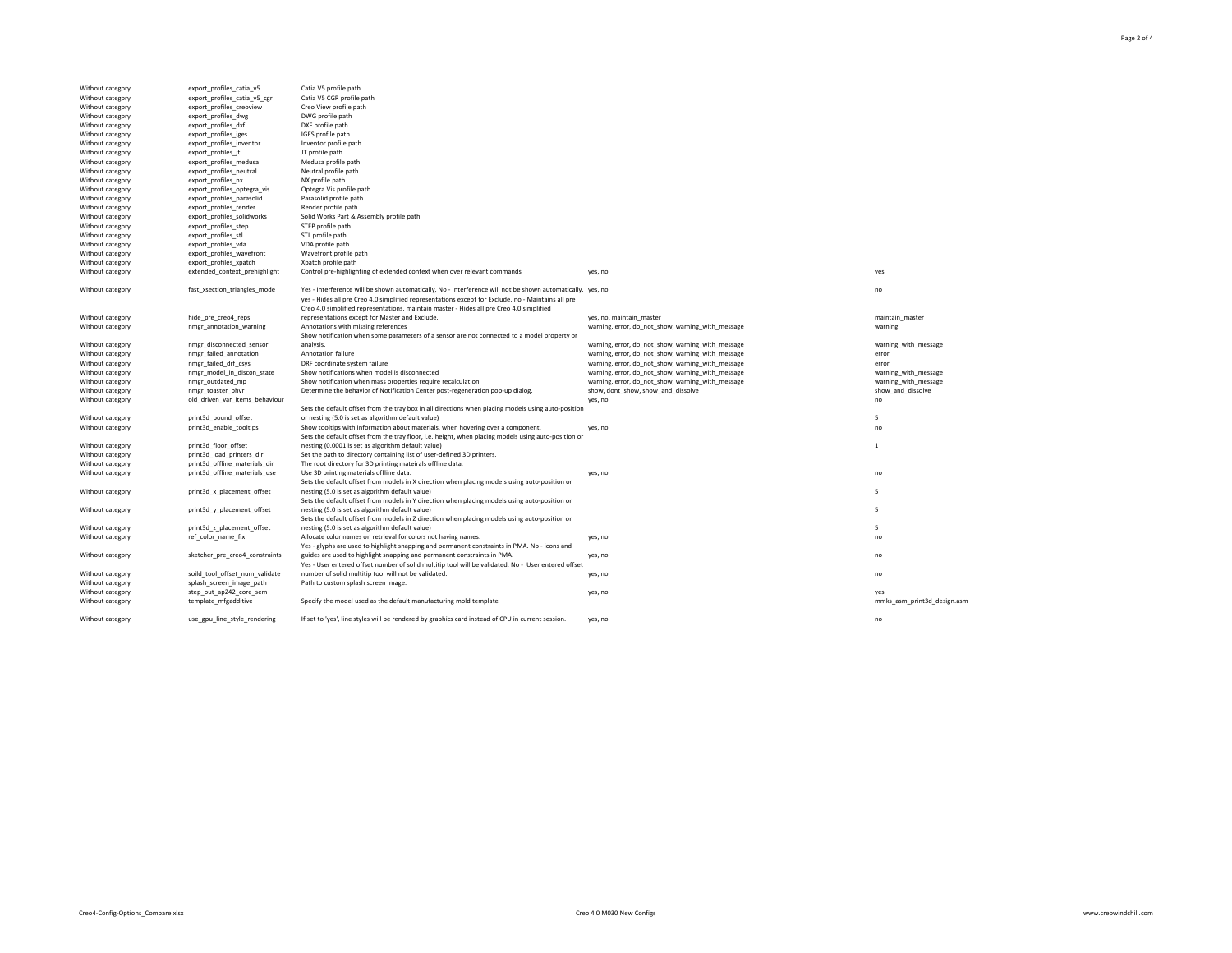Without category export\_profiles\_catia\_v5 Catia V5 profile path Without category export\_profiles\_catia\_v5\_cgr Catia V5 CGR profile path Without category export\_profiles\_creoview Creo View profile path Without category export\_profiles\_dwg DWG profile path Without category export\_profiles\_dxf DXF profile path Without category export\_profiles\_iges IGES profile path Without category export\_profiles\_inventor inventor profile path Without category export\_profiles\_jt JT profile path Without category export\_profiles\_medusa Medusa profile path Without category export\_profiles\_neutral neutral Neutral profile path Without category export\_profiles\_nx MX profile path Without category export\_profiles\_optegra\_vis Optegra Vis profile path Without category export\_profiles\_parasolid Parasolid profile path Without category export\_profiles\_render Render profile path Without category export\_profiles\_step STEP profile path Without category export\_profiles\_stl STL profile path Without category export\_profiles\_vda VDA profile path Without category export\_profiles\_wavefront Wavefront profile path Without category export\_profiles\_xpatch Microsoft Apatch profile path Without category hide\_pre\_creo4\_reps Without category external informal manager connected\_sensor

Without category entities of the print3d\_bound\_offset

Without category external print3d\_floor\_offset

Without category external print3d\_x\_placement\_offset

Without category external print3d\_y\_placement\_offset

Without category external print3d\_z\_placement\_offset

Without category step\_out\_ap242\_core\_sem ves, no yes, no yes, no yes, no yes, no yes, no yes, no yes, no yes, no yes,  $\frac{1}{2}$ 



Without category fast\_xsection\_triangles\_mode Yes - Interference will be shown automatically, No - interference will not be shown automatically. yes, no no no no no no yes - Hides all pre Creo 4.0 simplified representations except for Exclude. no - Maintains all pre Creo 4.0 simplified representations. maintain master - Hides all pre Creo 4.0 simplified representations except for Master and Exclude. yes, no, maintain\_master maintain\_master Without category **nmgr\_annotation\_warning** Annotations with missing references warning annotations with missing references warning, error, do\_not\_show, warning\_with\_message warning warning warning Show notification when some parameters of a sensor are not connected to a model property or analysis. warning, error, do\_not\_show, warning\_with\_message warning\_with\_message warning\_with\_message Without category mmgr\_failed\_annotation Annotation failure error warning, error, do\_not\_show, warning\_with\_message error Without category mmgr\_failed\_drf\_csys DRF coordinate system failure warning, error, do\_not\_show, warning\_with\_message error Without category **nmgr\_model\_in\_discon\_state** Show notifications when model is disconnected warning, error, do\_not\_show, warning\_with\_message warning\_with\_message warning\_with\_message warning\_with\_message Without category mmgr\_outdated\_mp Show notification when mass properties require recalculation warning, error, do\_not\_show, warning\_with\_message warning\_with\_message warning\_with\_message Without category **nmgr\_toaster\_bhvr** Determine the behavior of Notification Center post-regeneration pop-up dialog. show, dont\_show, show\_and\_dissolve show\_and\_mand\_dissolve show\_and\_dissolve Without category old\_driven\_var\_items\_behaviour contact and the second original contact of the ves, no no no no Sets the default offset from the tray box in all directions when placing models using auto-position or nesting (5.0 is set as algorithm default value) 5 Without category print3d\_enable\_tooltips Show tooltips with information about materials, when hovering over a component. yes, no no no no no no Sets the default offset from the tray floor, i.e. height, when placing models using auto-position or nesting (0.0001 is set as algorithm default value) and the set of the set of the set of the set of the set of the set of the set of the set of the set of the set of the set of the set of the set of the set of the set of th Without category **print3d\_load\_printers\_dir** Set the path to directory containing list of user-defined 3D printers. Without category **print3d\_offline\_materials\_dir** The root directory for 3D printing mateirals offline data. Without category print3d\_offline\_materials\_use Use 3D printing materials offline data. yes, no yes, no Sets the default offset from models in X direction when placing models using auto-position or nesting (5.0 is set as algorithm default value) 5 Sets the default offset from models in Y direction when placing models using auto-position or nesting (5.0 is set as algorithm default value) 5 Sets the default offset from models in Z direction when placing models using auto-position or

nesting (5.0 is set as algorithm default value) 5 Without category ref\_color\_name\_fix Allocate color names on retrieval for colors not having names. yes, no yes, no Yes - glyphs are used to highlight snapping and permanent constraints in PMA. No - icons and guides are used to highlight snapping and permanent constraints in PMA. yes, no no no no no no no no no no no no

Without category soild\_tool\_offset\_num\_validate Without category **Subsetent States and Splash\_screen\_image\_path** Path to custom splash screen image.

Without category export\_profiles\_solidworks Solid Works Part & Assembly profile path Without category extended\_context\_prehighlight Control pre-highlighting of extended context when over relevant commands yes, no yes, no

> Yes - User entered offset number of solid multitip tool will be validated. No - User entered offset number of solid multitip tool will not be validated. The versus controlled with the versus provided will not be validated.

Without category template\_mfgadditive Specify the model used as the default manufacturing mold template metals are mmks\_asm\_print3d\_design.asm

Without category use\_gpu\_line\_style\_rendering If set to 'yes', line styles will be rendered by graphics card instead of CPU in current session. yes, no no no no

Without category sketcher\_pre\_creo4\_constraints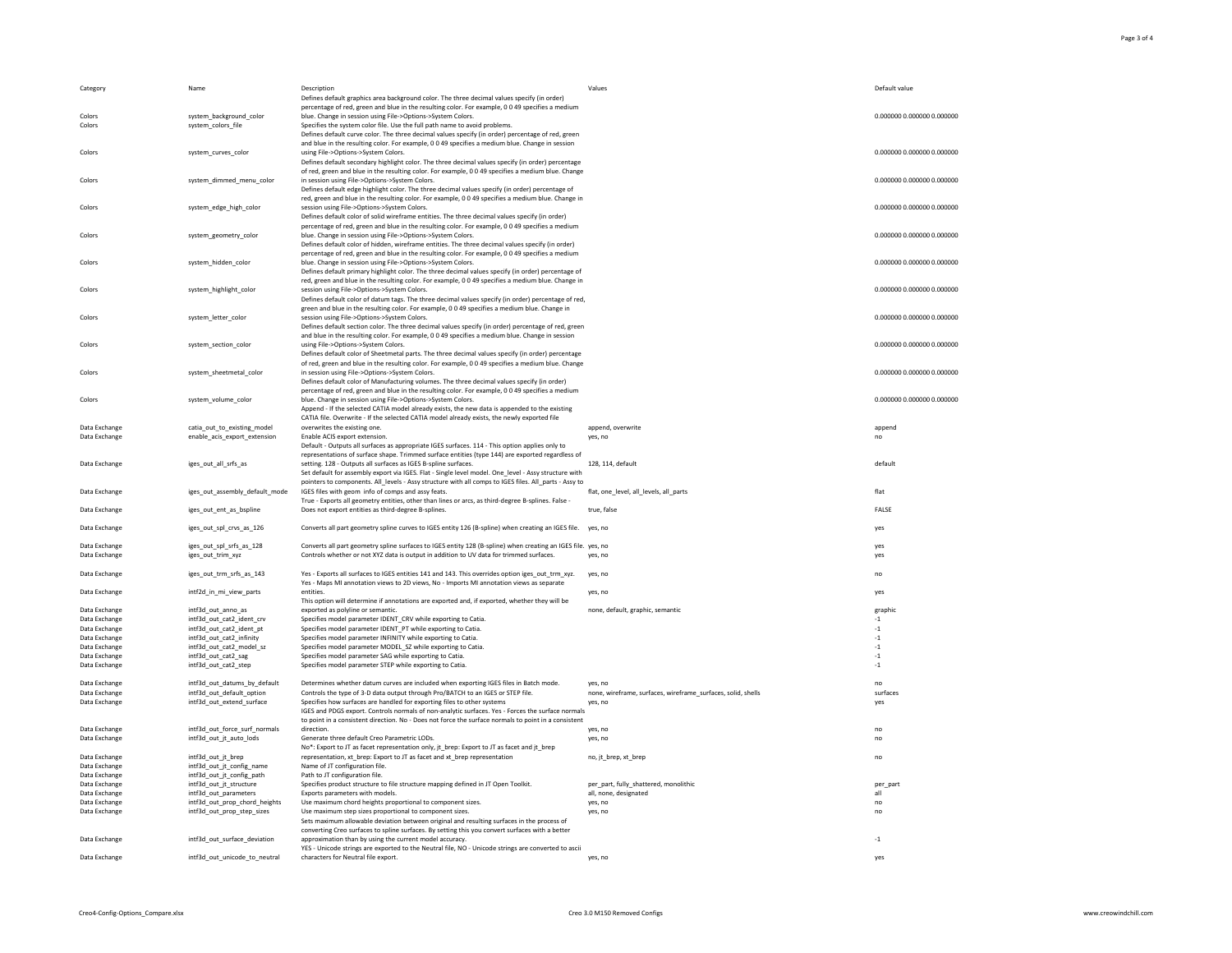

| Category                       | Name                           | Description                                                                                                                                                | Values                                                       | Default value              |
|--------------------------------|--------------------------------|------------------------------------------------------------------------------------------------------------------------------------------------------------|--------------------------------------------------------------|----------------------------|
|                                |                                | Defines default graphics area background color. The three decimal values specify (in order)                                                                |                                                              |                            |
|                                |                                | percentage of red, green and blue in the resulting color. For example, 0 0 49 specifies a medium                                                           |                                                              |                            |
| Colors                         | system_background_color        | blue. Change in session using File->Options->System Colors.                                                                                                |                                                              | 0.000000 0.000000 0.000000 |
| Colors                         | system_colors_file             | Specifies the system color file. Use the full path name to avoid problems.                                                                                 |                                                              |                            |
|                                |                                | Defines default curve color. The three decimal values specify (in order) percentage of red, green                                                          |                                                              |                            |
|                                |                                | and blue in the resulting color. For example, 0049 specifies a medium blue. Change in session                                                              |                                                              |                            |
| Colors                         | system_curves_color            | using File->Options->System Colors.                                                                                                                        |                                                              | 0.000000 0.000000 0.000000 |
|                                |                                | Defines default secondary highlight color. The three decimal values specify (in order) percentage                                                          |                                                              |                            |
|                                |                                | of red, green and blue in the resulting color. For example, 0 0 49 specifies a medium blue. Change                                                         |                                                              |                            |
| Colors                         | system_dimmed_menu_color       | in session using File->Options->System Colors.                                                                                                             |                                                              | 0.000000 0.000000 0.000000 |
|                                |                                | Defines default edge highlight color. The three decimal values specify (in order) percentage of                                                            |                                                              |                            |
|                                |                                | red, green and blue in the resulting color. For example, 0 0 49 specifies a medium blue. Change in                                                         |                                                              |                            |
| Colors                         | system_edge_high_color         | session using File->Options->System Colors.                                                                                                                |                                                              | 0.000000 0.000000 0.000000 |
|                                |                                | Defines default color of solid wireframe entities. The three decimal values specify (in order)                                                             |                                                              |                            |
|                                |                                | percentage of red, green and blue in the resulting color. For example, 0 0 49 specifies a medium                                                           |                                                              |                            |
| Colors                         | system_geometry_color          | blue. Change in session using File->Options->System Colors.                                                                                                |                                                              | 0.000000 0.000000 0.000000 |
|                                |                                | Defines default color of hidden, wireframe entities. The three decimal values specify (in order)                                                           |                                                              |                            |
|                                |                                | percentage of red, green and blue in the resulting color. For example, 0 0 49 specifies a medium                                                           |                                                              |                            |
| Colors                         | system_hidden_color            | blue. Change in session using File->Options->System Colors.                                                                                                |                                                              | 0.000000 0.000000 0.000000 |
|                                |                                | Defines default primary highlight color. The three decimal values specify (in order) percentage of                                                         |                                                              |                            |
|                                |                                | red, green and blue in the resulting color. For example, 0 0 49 specifies a medium blue. Change in                                                         |                                                              |                            |
| Colors                         | system_highlight_color         | session using File->Options->System Colors.                                                                                                                |                                                              | 0.000000 0.000000 0.000000 |
|                                |                                | Defines default color of datum tags. The three decimal values specify (in order) percentage of red,                                                        |                                                              |                            |
|                                |                                | green and blue in the resulting color. For example, 0 0 49 specifies a medium blue. Change in                                                              |                                                              |                            |
| Colors                         | system_letter_color            | session using File->Options->System Colors.                                                                                                                |                                                              | 0.000000 0.000000 0.000000 |
|                                |                                | Defines default section color. The three decimal values specify (in order) percentage of red, green                                                        |                                                              |                            |
|                                |                                | and blue in the resulting color. For example, 0049 specifies a medium blue. Change in session                                                              |                                                              |                            |
| Colors                         | system section color           | using File->Options->System Colors.                                                                                                                        |                                                              | 0.000000 0.000000 0.000000 |
|                                |                                | Defines default color of Sheetmetal parts. The three decimal values specify (in order) percentage                                                          |                                                              |                            |
|                                |                                | of red, green and blue in the resulting color. For example, 0 0 49 specifies a medium blue. Change                                                         |                                                              |                            |
| Colors                         | system sheetmetal color        | in session using File->Options->System Colors.                                                                                                             |                                                              | 0.000000 0.000000 0.000000 |
|                                |                                | Defines default color of Manufacturing volumes. The three decimal values specify (in order)                                                                |                                                              |                            |
|                                |                                | percentage of red, green and blue in the resulting color. For example, 0 0 49 specifies a medium                                                           |                                                              |                            |
| Colors                         | system_volume_color            | blue. Change in session using File->Options->System Colors.                                                                                                |                                                              | 0.000000 0.000000 0.000000 |
|                                |                                | Append - If the selected CATIA model already exists, the new data is appended to the existing                                                              |                                                              |                            |
|                                |                                | CATIA file. Overwrite - If the selected CATIA model already exists, the newly exported file                                                                |                                                              |                            |
| Data Exchange                  | catia_out_to_existing_model    | overwrites the existing one.                                                                                                                               | append, overwrite                                            | append                     |
| Data Exchange                  | enable_acis_export_extension   | Enable ACIS export extension.                                                                                                                              | yes, no                                                      | no                         |
|                                |                                | Default - Outputs all surfaces as appropriate IGES surfaces. 114 - This option applies only to                                                             |                                                              |                            |
|                                |                                | representations of surface shape. Trimmed surface entities (type 144) are exported regardless of                                                           |                                                              |                            |
| Data Exchange                  | iges_out_all_srfs_as           | setting. 128 - Outputs all surfaces as IGES B-spline surfaces.                                                                                             | 128, 114, default                                            | default                    |
|                                |                                | Set default for assembly export via IGES. Flat - Single level model. One_level - Assy structure with                                                       |                                                              |                            |
|                                |                                | pointers to components. All levels - Assy structure with all comps to IGES files. All parts - Assy to                                                      |                                                              |                            |
| Data Exchange                  | iges_out_assembly_default_mode | IGES files with geom info of comps and assy feats.                                                                                                         | flat, one_level, all_levels, all_parts                       | flat                       |
|                                |                                | True - Exports all geometry entities, other than lines or arcs, as third-degree B-splines. False -                                                         |                                                              |                            |
| Data Exchange                  | iges_out_ent_as_bspline        | Does not export entities as third-degree B-splines.                                                                                                        | true, false                                                  | <b>FALSE</b>               |
|                                |                                |                                                                                                                                                            |                                                              |                            |
| Data Exchange                  | iges_out_spl_crvs_as_126       | Converts all part geometry spline curves to IGES entity 126 (B-spline) when creating an IGES file.                                                         | yes, no                                                      | yes                        |
|                                |                                |                                                                                                                                                            |                                                              |                            |
| Data Exchange                  | iges_out_spl_srfs_as_128       | Converts all part geometry spline surfaces to IGES entity 128 (B-spline) when creating an IGES file. yes, no                                               |                                                              | yes                        |
| Data Exchange                  | iges_out_trim_xyz              | Controls whether or not XYZ data is output in addition to UV data for trimmed surfaces.                                                                    | yes, no                                                      | yes                        |
|                                |                                |                                                                                                                                                            |                                                              |                            |
| Data Exchange                  | iges out trm srfs as 143       | Yes - Exports all surfaces to IGES entities 141 and 143. This overrides option iges out trm_xyz.                                                           | yes, no                                                      | no                         |
|                                |                                | Yes - Maps MI annotation views to 2D views, No - Imports MI annotation views as separate                                                                   |                                                              |                            |
| Data Exchange                  | intf2d_in_mi_view_parts        | entities.                                                                                                                                                  | yes, no                                                      | yes                        |
|                                |                                | This option will determine if annotations are exported and, if exported, whether they will be                                                              |                                                              |                            |
| Data Exchange                  | intf3d_out_anno_as             | exported as polyline or semantic.                                                                                                                          | none, default, graphic, semantic                             | graphic                    |
| Data Exchange                  | intf3d_out_cat2_ident_crv      | Specifies model parameter IDENT_CRV while exporting to Catia.                                                                                              |                                                              | $-1$                       |
| Data Exchange                  | intf3d_out_cat2_ident_pt       | Specifies model parameter IDENT_PT while exporting to Catia.                                                                                               |                                                              | $-1$                       |
| Data Exchange                  | intf3d_out_cat2_infinity       | Specifies model parameter INFINITY while exporting to Catia.                                                                                               |                                                              | $-1$                       |
| Data Exchange                  | intf3d_out_cat2_model_sz       | Specifies model parameter MODEL_SZ while exporting to Catia.                                                                                               |                                                              | $-1$                       |
| Data Exchange                  | intf3d_out_cat2_sag            | Specifies model parameter SAG while exporting to Catia.                                                                                                    |                                                              | $-1$                       |
| Data Exchange                  | intf3d_out_cat2_step           | Specifies model parameter STEP while exporting to Catia.                                                                                                   |                                                              | $-1$                       |
|                                |                                |                                                                                                                                                            |                                                              |                            |
| Data Exchange                  | intf3d_out_datums_by_default   | Determines whether datum curves are included when exporting IGES files in Batch mode.                                                                      | yes, no                                                      | no                         |
| Data Exchange<br>Data Exchange | intf3d out default option      | Controls the type of 3-D data output through Pro/BATCH to an IGES or STEP file.<br>Specifies how surfaces are handled for exporting files to other systems | none, wireframe, surfaces, wireframe_surfaces, solid, shells | surfaces                   |
|                                | intf3d_out_extend_surface      |                                                                                                                                                            | yes, no                                                      | yes                        |
|                                |                                | IGES and PDGS export. Controls normals of non-analytic surfaces. Yes - Forces the surface normals                                                          |                                                              |                            |
|                                |                                | to point in a consistent direction. No - Does not force the surface normals to point in a consistent                                                       |                                                              |                            |
| Data Exchange                  | intf3d_out_force_surf_normals  | direction.                                                                                                                                                 | yes, no                                                      | no                         |
| Data Exchange                  | intf3d_out_jt_auto_lods        | Generate three default Creo Parametric LODs.                                                                                                               | yes, no                                                      | no                         |
|                                |                                | No*: Export to JT as facet representation only, jt_brep: Export to JT as facet and jt_brep                                                                 |                                                              |                            |
| Data Exchange                  | intf3d_out_jt_brep             | representation, xt_brep: Export to JT as facet and xt_brep representation                                                                                  | no, jt_brep, xt_brep                                         | no                         |
| Data Exchange                  | intf3d_out_jt_config_name      | Name of JT configuration file.                                                                                                                             |                                                              |                            |
| Data Exchange                  | intf3d_out_jt_config_path      | Path to JT configuration file.                                                                                                                             |                                                              |                            |
| Data Exchange                  | intf3d_out_jt_structure        | Specifies product structure to file structure mapping defined in JT Open Toolkit.                                                                          | per_part, fully_shattered, monolithic                        | per_part                   |
| Data Exchange                  | intf3d_out_parameters          | Exports parameters with models.                                                                                                                            | all, none, designated                                        | all                        |
| Data Exchange                  | intf3d_out_prop_chord_heights  | Use maximum chord heights proportional to component sizes.                                                                                                 | yes, no                                                      | no                         |
| Data Exchange                  | intf3d_out_prop_step_sizes     | Use maximum step sizes proportional to component sizes.                                                                                                    | yes, no                                                      | no                         |
|                                |                                | Sets maximum allowable deviation between original and resulting surfaces in the process of                                                                 |                                                              |                            |
|                                |                                | converting Creo surfaces to spline surfaces. By setting this you convert surfaces with a better                                                            |                                                              |                            |
| Data Exchange                  | intf3d_out_surface_deviation   | approximation than by using the current model accuracy.                                                                                                    |                                                              | $-1$                       |
|                                |                                | YES - Unicode strings are exported to the Neutral file, NO - Unicode strings are converted to ascii                                                        |                                                              |                            |
| Data Exchange                  | intf3d_out_unicode_to_neutral  | characters for Neutral file export.                                                                                                                        | yes, no                                                      | yes                        |